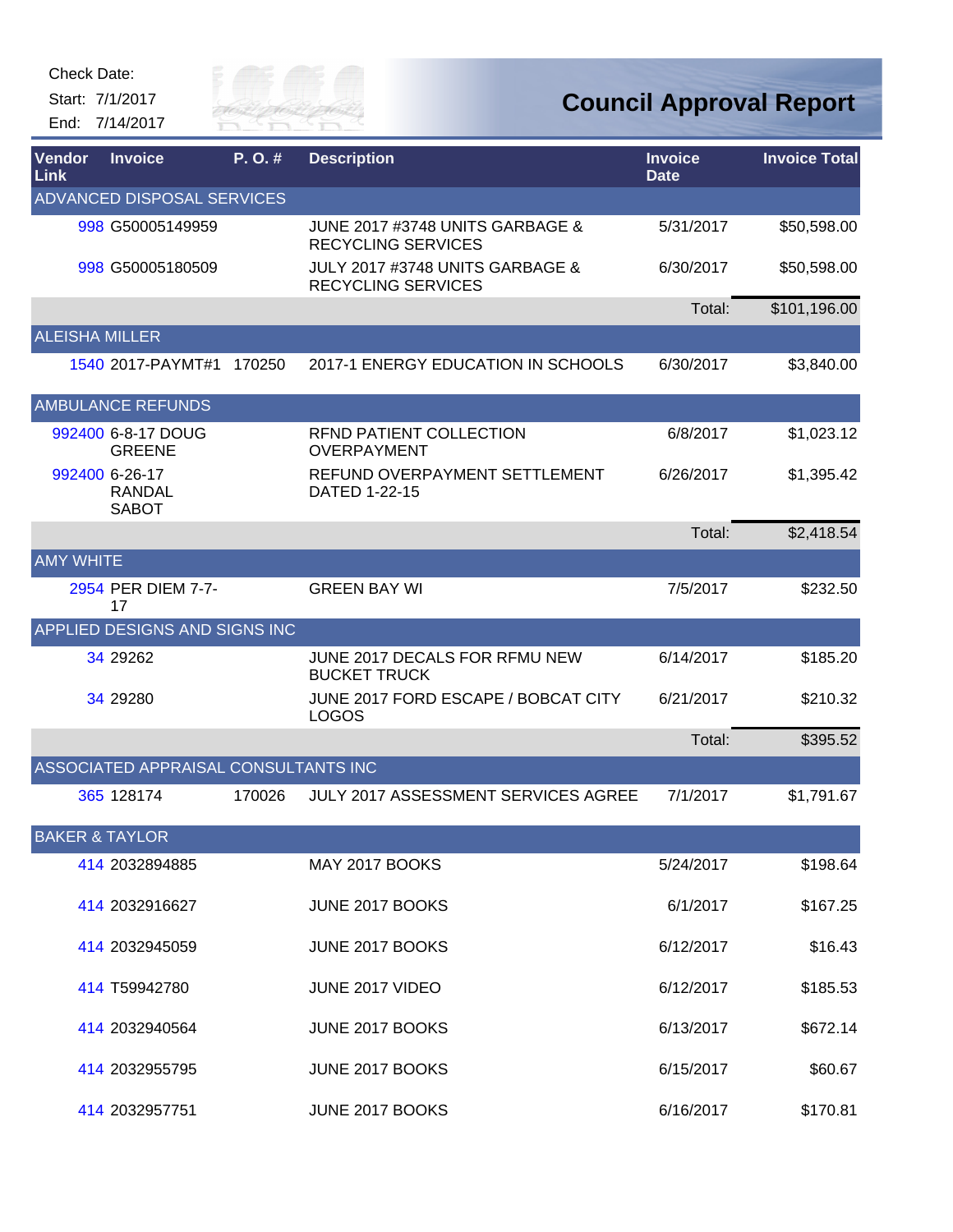Check Date:

Start: 7/1/2017 End: 7/14/2017



| Vendor<br><b>Link</b>     | <b>Invoice</b>                                  | $P. O.$ # | <b>Description</b>                                                      | <b>Invoice</b><br><b>Date</b> | <b>Invoice Total</b> |
|---------------------------|-------------------------------------------------|-----------|-------------------------------------------------------------------------|-------------------------------|----------------------|
|                           | ADVANCED DISPOSAL SERVICES                      |           |                                                                         |                               |                      |
|                           | 998 G50005149959                                |           | <b>JUNE 2017 #3748 UNITS GARBAGE &amp;</b><br><b>RECYCLING SERVICES</b> | 5/31/2017                     | \$50,598.00          |
|                           | 998 G50005180509                                |           | <b>JULY 2017 #3748 UNITS GARBAGE &amp;</b><br><b>RECYCLING SERVICES</b> | 6/30/2017                     | \$50,598.00          |
|                           |                                                 |           |                                                                         | Total:                        | \$101,196.00         |
| <b>ALEISHA MILLER</b>     |                                                 |           |                                                                         |                               |                      |
|                           | 1540 2017-PAYMT#1                               | 170250    | 2017-1 ENERGY EDUCATION IN SCHOOLS                                      | 6/30/2017                     | \$3,840.00           |
|                           | <b>AMBULANCE REFUNDS</b>                        |           |                                                                         |                               |                      |
|                           | 992400 6-8-17 DOUG<br><b>GREENE</b>             |           | RFND PATIENT COLLECTION<br><b>OVERPAYMENT</b>                           | 6/8/2017                      | \$1,023.12           |
|                           | 992400 6-26-17<br><b>RANDAL</b><br><b>SABOT</b> |           | REFUND OVERPAYMENT SETTLEMENT<br>DATED 1-22-15                          | 6/26/2017                     | \$1,395.42           |
|                           |                                                 |           |                                                                         | Total:                        | \$2,418.54           |
| <b>AMY WHITE</b>          |                                                 |           |                                                                         |                               |                      |
|                           | 2954 PER DIEM 7-7-<br>17                        |           | <b>GREEN BAY WI</b>                                                     | 7/5/2017                      | \$232.50             |
|                           | APPLIED DESIGNS AND SIGNS INC                   |           |                                                                         |                               |                      |
|                           | 34 29 26 2                                      |           | JUNE 2017 DECALS FOR RFMU NEW<br><b>BUCKET TRUCK</b>                    | 6/14/2017                     | \$185.20             |
|                           | 34 29 280                                       |           | JUNE 2017 FORD ESCAPE / BOBCAT CITY<br><b>LOGOS</b>                     | 6/21/2017                     | \$210.32             |
|                           |                                                 |           |                                                                         | Total:                        | \$395.52             |
|                           | ASSOCIATED APPRAISAL CONSULTANTS INC            |           |                                                                         |                               |                      |
|                           | 365 128174                                      | 170026    | JULY 2017 ASSESSMENT SERVICES AGREE                                     | 7/1/2017                      | \$1,791.67           |
| <b>BAKER &amp; TAYLOR</b> |                                                 |           |                                                                         |                               |                      |
|                           | 414 2032894885                                  |           | MAY 2017 BOOKS                                                          | 5/24/2017                     | \$198.64             |
|                           | 414 2032916627                                  |           | JUNE 2017 BOOKS                                                         | 6/1/2017                      | \$167.25             |
|                           | 414 2032945059                                  |           | JUNE 2017 BOOKS                                                         | 6/12/2017                     | \$16.43              |
|                           | 414 T59942780                                   |           | JUNE 2017 VIDEO                                                         | 6/12/2017                     | \$185.53             |
|                           | 414 2032940564                                  |           | JUNE 2017 BOOKS                                                         | 6/13/2017                     | \$672.14             |
|                           | 414 2032955795                                  |           | JUNE 2017 BOOKS                                                         | 6/15/2017                     | \$60.67              |
|                           | 414 2032957751                                  |           | JUNE 2017 BOOKS                                                         | 6/16/2017                     | \$170.81             |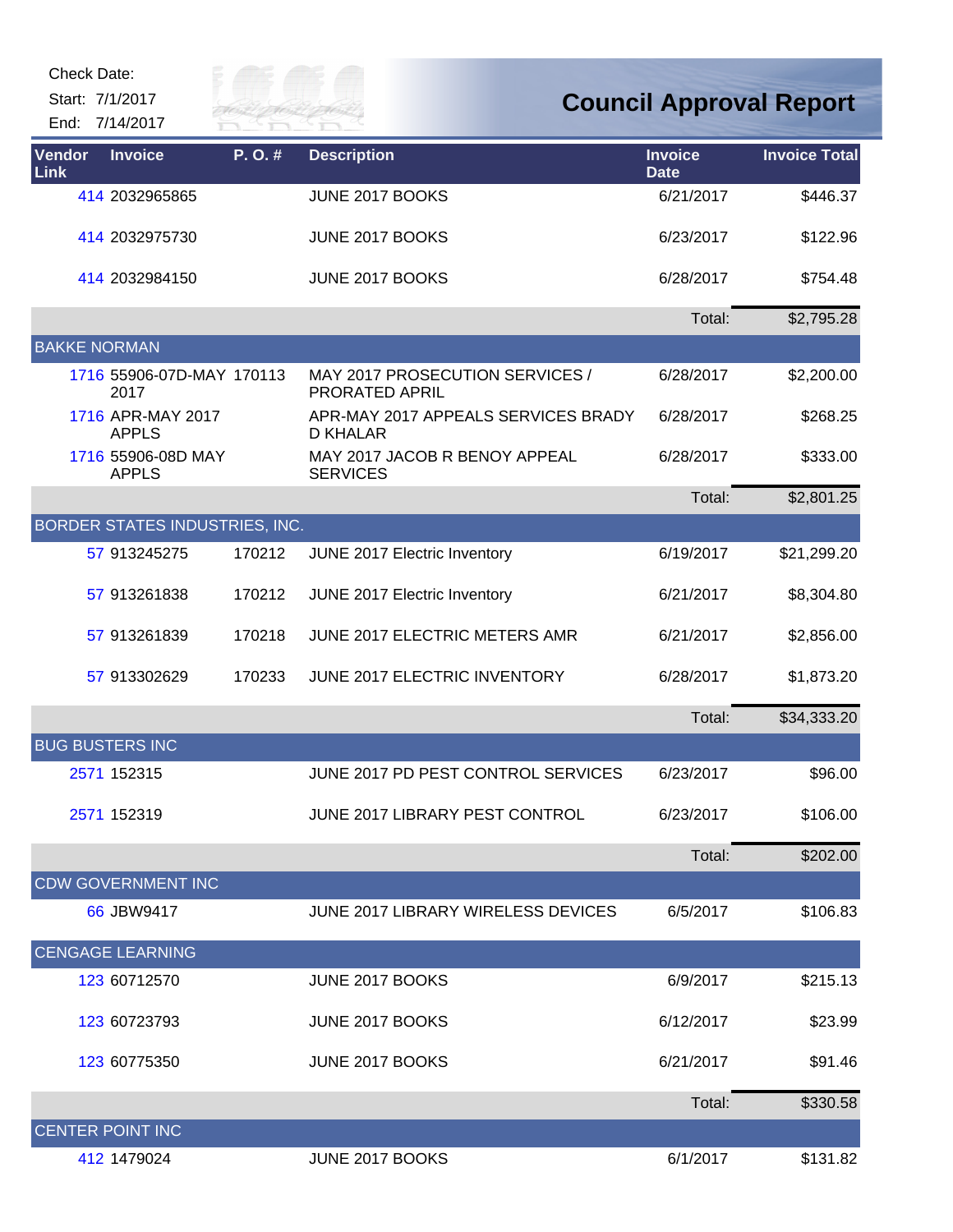Check Date:

Start: 7/1/2017

End: 7/14/2017



| Vendor<br>Link      | <b>Invoice</b>                     | P.O.#  | <b>Description</b>                                     | <b>Invoice</b><br><b>Date</b> | <b>Invoice Total</b> |
|---------------------|------------------------------------|--------|--------------------------------------------------------|-------------------------------|----------------------|
|                     | 414 2032965865                     |        | JUNE 2017 BOOKS                                        | 6/21/2017                     | \$446.37             |
|                     | 414 2032975730                     |        | JUNE 2017 BOOKS                                        | 6/23/2017                     | \$122.96             |
|                     | 414 2032984150                     |        | JUNE 2017 BOOKS                                        | 6/28/2017                     | \$754.48             |
|                     |                                    |        |                                                        | Total:                        | \$2,795.28           |
| <b>BAKKE NORMAN</b> |                                    |        |                                                        |                               |                      |
|                     | 1716 55906-07D-MAY 170113<br>2017  |        | MAY 2017 PROSECUTION SERVICES /<br>PRORATED APRIL      | 6/28/2017                     | \$2,200.00           |
|                     | 1716 APR-MAY 2017<br><b>APPLS</b>  |        | APR-MAY 2017 APPEALS SERVICES BRADY<br><b>D KHALAR</b> | 6/28/2017                     | \$268.25             |
|                     | 1716 55906-08D MAY<br><b>APPLS</b> |        | MAY 2017 JACOB R BENOY APPEAL<br><b>SERVICES</b>       | 6/28/2017                     | \$333.00             |
|                     |                                    |        |                                                        | Total:                        | \$2,801.25           |
|                     | BORDER STATES INDUSTRIES, INC.     |        |                                                        |                               |                      |
|                     | 57 913245275                       | 170212 | JUNE 2017 Electric Inventory                           | 6/19/2017                     | \$21,299.20          |
|                     | 57 913261838                       | 170212 | JUNE 2017 Electric Inventory                           | 6/21/2017                     | \$8,304.80           |
|                     | 57 913261839                       | 170218 | JUNE 2017 ELECTRIC METERS AMR                          | 6/21/2017                     | \$2,856.00           |
|                     | 57 913302629                       | 170233 | JUNE 2017 ELECTRIC INVENTORY                           | 6/28/2017                     | \$1,873.20           |
|                     |                                    |        |                                                        | Total:                        | \$34,333.20          |
|                     | <b>BUG BUSTERS INC</b>             |        |                                                        |                               |                      |
|                     | 2571 152315                        |        | JUNE 2017 PD PEST CONTROL SERVICES                     | 6/23/2017                     | \$96.00              |
|                     | 2571 152319                        |        | JUNE 2017 LIBRARY PEST CONTROL                         | 6/23/2017                     | \$106.00             |
|                     |                                    |        |                                                        | Total:                        | \$202.00             |
|                     | <b>CDW GOVERNMENT INC</b>          |        |                                                        |                               |                      |
|                     | 66 JBW9417                         |        | <b>JUNE 2017 LIBRARY WIRELESS DEVICES</b>              | 6/5/2017                      | \$106.83             |
|                     | <b>CENGAGE LEARNING</b>            |        |                                                        |                               |                      |
|                     | 123 60712570                       |        | JUNE 2017 BOOKS                                        | 6/9/2017                      | \$215.13             |
|                     | 123 60723793                       |        | JUNE 2017 BOOKS                                        | 6/12/2017                     | \$23.99              |
|                     | 123 60775350                       |        | JUNE 2017 BOOKS                                        | 6/21/2017                     | \$91.46              |
|                     |                                    |        |                                                        | Total:                        | \$330.58             |
|                     | <b>CENTER POINT INC</b>            |        |                                                        |                               |                      |
|                     | 412 1479024                        |        | JUNE 2017 BOOKS                                        | 6/1/2017                      | \$131.82             |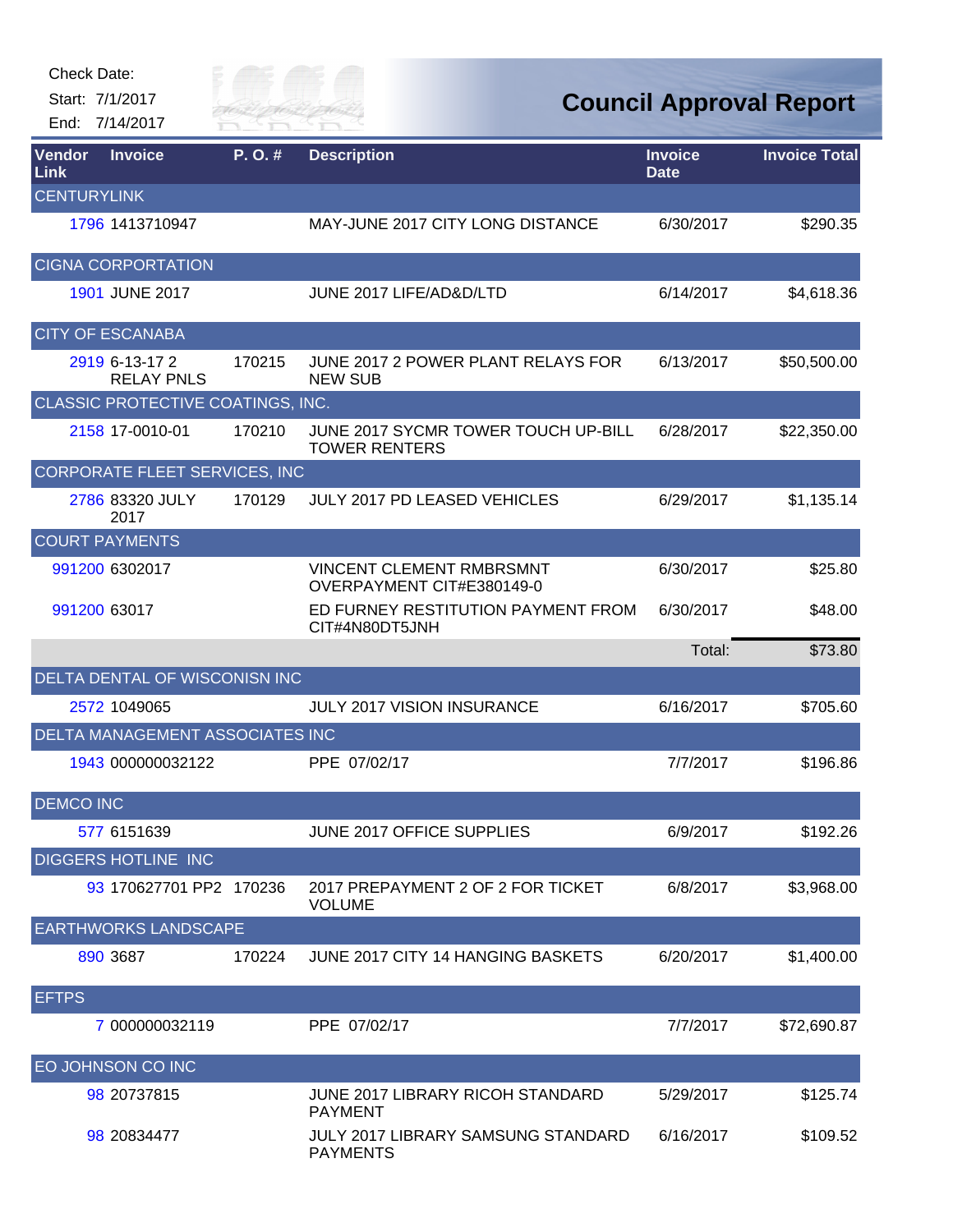| Check Date:        | Start: 7/1/2017<br>End: 7/14/2017      | City of<br>RIVER FAI |                                                              |                               | <b>Council Approval Report</b> |
|--------------------|----------------------------------------|----------------------|--------------------------------------------------------------|-------------------------------|--------------------------------|
| Vendor<br>Link     | <b>Invoice</b>                         | P. O.#               | <b>Description</b>                                           | <b>Invoice</b><br><b>Date</b> | <b>Invoice Total</b>           |
| <b>CENTURYLINK</b> |                                        |                      |                                                              |                               |                                |
|                    | 1796 1413710947                        |                      | MAY-JUNE 2017 CITY LONG DISTANCE                             | 6/30/2017                     | \$290.35                       |
|                    | <b>CIGNA CORPORTATION</b>              |                      |                                                              |                               |                                |
|                    | 1901 JUNE 2017                         |                      | JUNE 2017 LIFE/AD&D/LTD                                      | 6/14/2017                     | \$4,618.36                     |
|                    | <b>CITY OF ESCANABA</b>                |                      |                                                              |                               |                                |
|                    | 2919 6-13-17 2<br><b>RELAY PNLS</b>    | 170215               | JUNE 2017 2 POWER PLANT RELAYS FOR<br><b>NEW SUB</b>         | 6/13/2017                     | \$50,500.00                    |
|                    | CLASSIC PROTECTIVE COATINGS, INC.      |                      |                                                              |                               |                                |
|                    | 2158 17-0010-01                        | 170210               | JUNE 2017 SYCMR TOWER TOUCH UP-BILL<br><b>TOWER RENTERS</b>  | 6/28/2017                     | \$22,350.00                    |
|                    | <b>CORPORATE FLEET SERVICES, INC</b>   |                      |                                                              |                               |                                |
|                    | 2786 83320 JULY<br>2017                | 170129               | <b>JULY 2017 PD LEASED VEHICLES</b>                          | 6/29/2017                     | \$1,135.14                     |
|                    | <b>COURT PAYMENTS</b>                  |                      |                                                              |                               |                                |
|                    | 991200 6302017                         |                      | <b>VINCENT CLEMENT RMBRSMNT</b><br>OVERPAYMENT CIT#E380149-0 | 6/30/2017                     | \$25.80                        |
|                    | 991200 63017                           |                      | ED FURNEY RESTITUTION PAYMENT FROM<br>CIT#4N80DT5JNH         | 6/30/2017                     | \$48.00                        |
|                    |                                        |                      |                                                              | Total:                        | \$73.80                        |
|                    | <b>DELTA DENTAL OF WISCONISN INC</b>   |                      |                                                              |                               |                                |
|                    | 2572 1049065                           |                      | JULY 2017 VISION INSURANCE                                   | 6/16/2017                     | \$705.60                       |
|                    | <b>DELTA MANAGEMENT ASSOCIATES INC</b> |                      |                                                              |                               |                                |
|                    | 1943 000000032122                      |                      | PPE 07/02/17                                                 | 7/7/2017                      | \$196.86                       |
| <b>DEMCO INC</b>   |                                        |                      |                                                              |                               |                                |
|                    | 577 6151639                            |                      | JUNE 2017 OFFICE SUPPLIES                                    | 6/9/2017                      | \$192.26                       |
|                    | DIGGERS HOTLINE INC                    |                      |                                                              |                               |                                |
|                    | 93 170627701 PP2 170236                |                      | 2017 PREPAYMENT 2 OF 2 FOR TICKET<br><b>VOLUME</b>           | 6/8/2017                      | \$3,968.00                     |
|                    | <b>EARTHWORKS LANDSCAPE</b>            |                      |                                                              |                               |                                |
|                    | 890 3687                               | 170224               | JUNE 2017 CITY 14 HANGING BASKETS                            | 6/20/2017                     | \$1,400.00                     |
| <b>EFTPS</b>       |                                        |                      |                                                              |                               |                                |
|                    | 7 000000032119                         |                      | PPE 07/02/17                                                 | 7/7/2017                      | \$72,690.87                    |
|                    | EO JOHNSON CO INC                      |                      |                                                              |                               |                                |
|                    | 98 20737815                            |                      | JUNE 2017 LIBRARY RICOH STANDARD<br><b>PAYMENT</b>           | 5/29/2017                     | \$125.74                       |
|                    | 98 20834477                            |                      | <b>JULY 2017 LIBRARY SAMSUNG STANDARD</b><br><b>PAYMENTS</b> | 6/16/2017                     | \$109.52                       |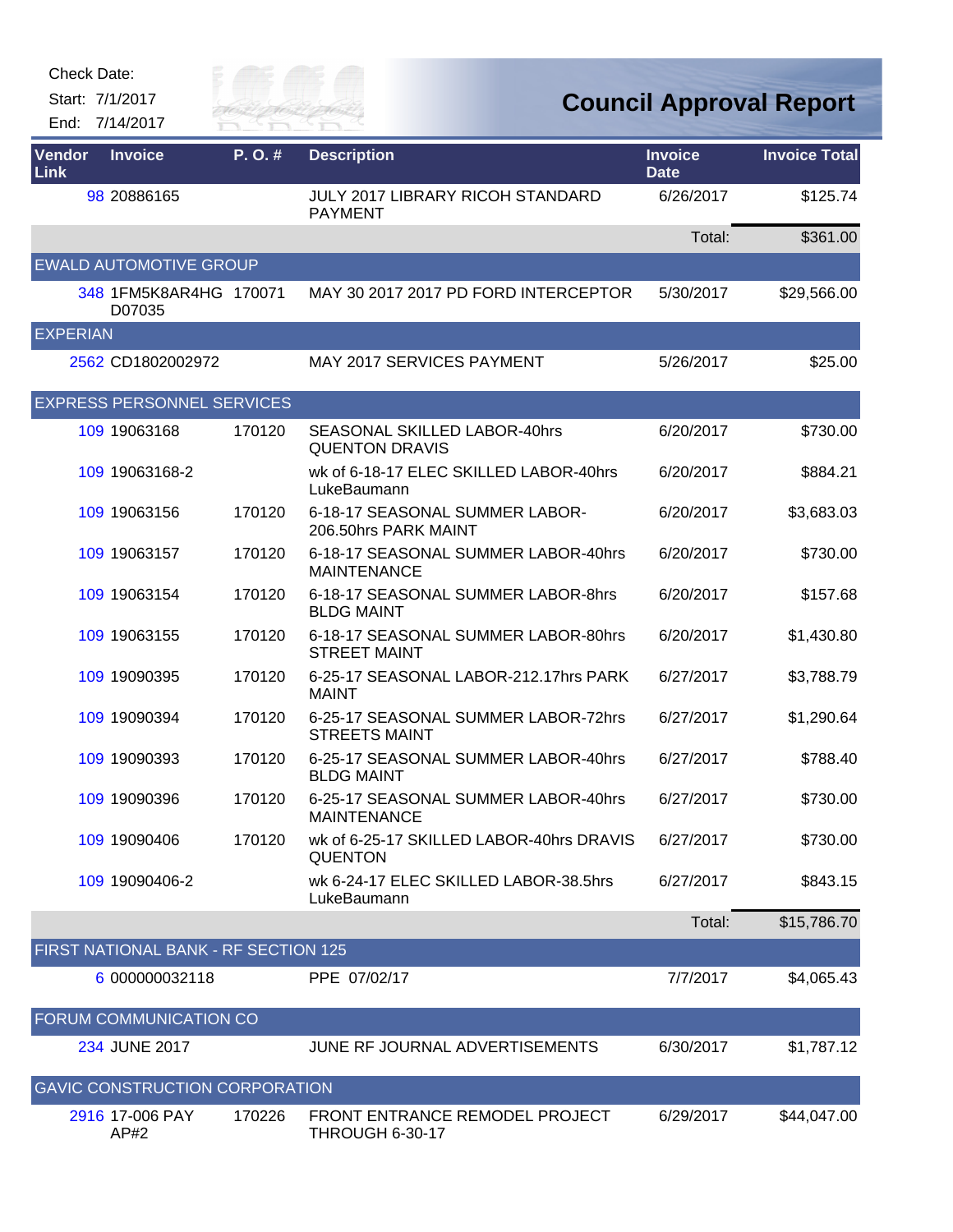Start: 7/1/2017 End: 7/14/2017



## **Council Approval Report**

| Vendor<br>Link  | <b>Invoice</b>                        | P. O. # | <b>Description</b>                                           | <b>Invoice</b><br><b>Date</b> | <b>Invoice Total</b> |
|-----------------|---------------------------------------|---------|--------------------------------------------------------------|-------------------------------|----------------------|
|                 | 98 20886165                           |         | <b>JULY 2017 LIBRARY RICOH STANDARD</b><br><b>PAYMENT</b>    | 6/26/2017                     | \$125.74             |
|                 |                                       |         |                                                              | Total:                        | \$361.00             |
|                 | <b>EWALD AUTOMOTIVE GROUP</b>         |         |                                                              |                               |                      |
|                 | 348 1FM5K8AR4HG 170071<br>D07035      |         | MAY 30 2017 2017 PD FORD INTERCEPTOR                         | 5/30/2017                     | \$29,566.00          |
| <b>EXPERIAN</b> |                                       |         |                                                              |                               |                      |
|                 | 2562 CD1802002972                     |         | <b>MAY 2017 SERVICES PAYMENT</b>                             | 5/26/2017                     | \$25.00              |
|                 | <b>EXPRESS PERSONNEL SERVICES</b>     |         |                                                              |                               |                      |
|                 | 109 19063168                          | 170120  | <b>SEASONAL SKILLED LABOR-40hrs</b><br><b>QUENTON DRAVIS</b> | 6/20/2017                     | \$730.00             |
|                 | 109 19063168-2                        |         | wk of 6-18-17 ELEC SKILLED LABOR-40hrs<br>LukeBaumann        | 6/20/2017                     | \$884.21             |
|                 | 109 19063156                          | 170120  | 6-18-17 SEASONAL SUMMER LABOR-<br>206.50hrs PARK MAINT       | 6/20/2017                     | \$3,683.03           |
|                 | 109 19063157                          | 170120  | 6-18-17 SEASONAL SUMMER LABOR-40hrs<br><b>MAINTENANCE</b>    | 6/20/2017                     | \$730.00             |
|                 | 109 19063154                          | 170120  | 6-18-17 SEASONAL SUMMER LABOR-8hrs<br><b>BLDG MAINT</b>      | 6/20/2017                     | \$157.68             |
|                 | 109 19063155                          | 170120  | 6-18-17 SEASONAL SUMMER LABOR-80hrs<br><b>STREET MAINT</b>   | 6/20/2017                     | \$1,430.80           |
|                 | 109 19090395                          | 170120  | 6-25-17 SEASONAL LABOR-212.17hrs PARK<br><b>MAINT</b>        | 6/27/2017                     | \$3,788.79           |
|                 | 109 19090394                          | 170120  | 6-25-17 SEASONAL SUMMER LABOR-72hrs<br><b>STREETS MAINT</b>  | 6/27/2017                     | \$1,290.64           |
|                 | 109 19090393                          | 170120  | 6-25-17 SEASONAL SUMMER LABOR-40hrs<br><b>BLDG MAINT</b>     | 6/27/2017                     | \$788.40             |
|                 | 109 19090396                          | 170120  | 6-25-17 SEASONAL SUMMER LABOR-40hrs<br><b>MAINTENANCE</b>    | 6/27/2017                     | \$730.00             |
|                 | 109 19090406                          | 170120  | wk of 6-25-17 SKILLED LABOR-40hrs DRAVIS<br><b>QUENTON</b>   | 6/27/2017                     | \$730.00             |
|                 | 109 19090406-2                        |         | wk 6-24-17 ELEC SKILLED LABOR-38.5hrs<br>LukeBaumann         | 6/27/2017                     | \$843.15             |
|                 |                                       |         |                                                              | Total:                        | \$15,786.70          |
|                 | FIRST NATIONAL BANK - RF SECTION 125  |         |                                                              |                               |                      |
|                 | 6 000000032118                        |         | PPE 07/02/17                                                 | 7/7/2017                      | \$4,065.43           |
|                 | FORUM COMMUNICATION CO                |         |                                                              |                               |                      |
|                 | 234 JUNE 2017                         |         | JUNE RF JOURNAL ADVERTISEMENTS                               | 6/30/2017                     | \$1,787.12           |
|                 | <b>GAVIC CONSTRUCTION CORPORATION</b> |         |                                                              |                               |                      |
|                 | 2916 17-006 PAY<br>AP#2               | 170226  | FRONT ENTRANCE REMODEL PROJECT<br><b>THROUGH 6-30-17</b>     | 6/29/2017                     | \$44,047.00          |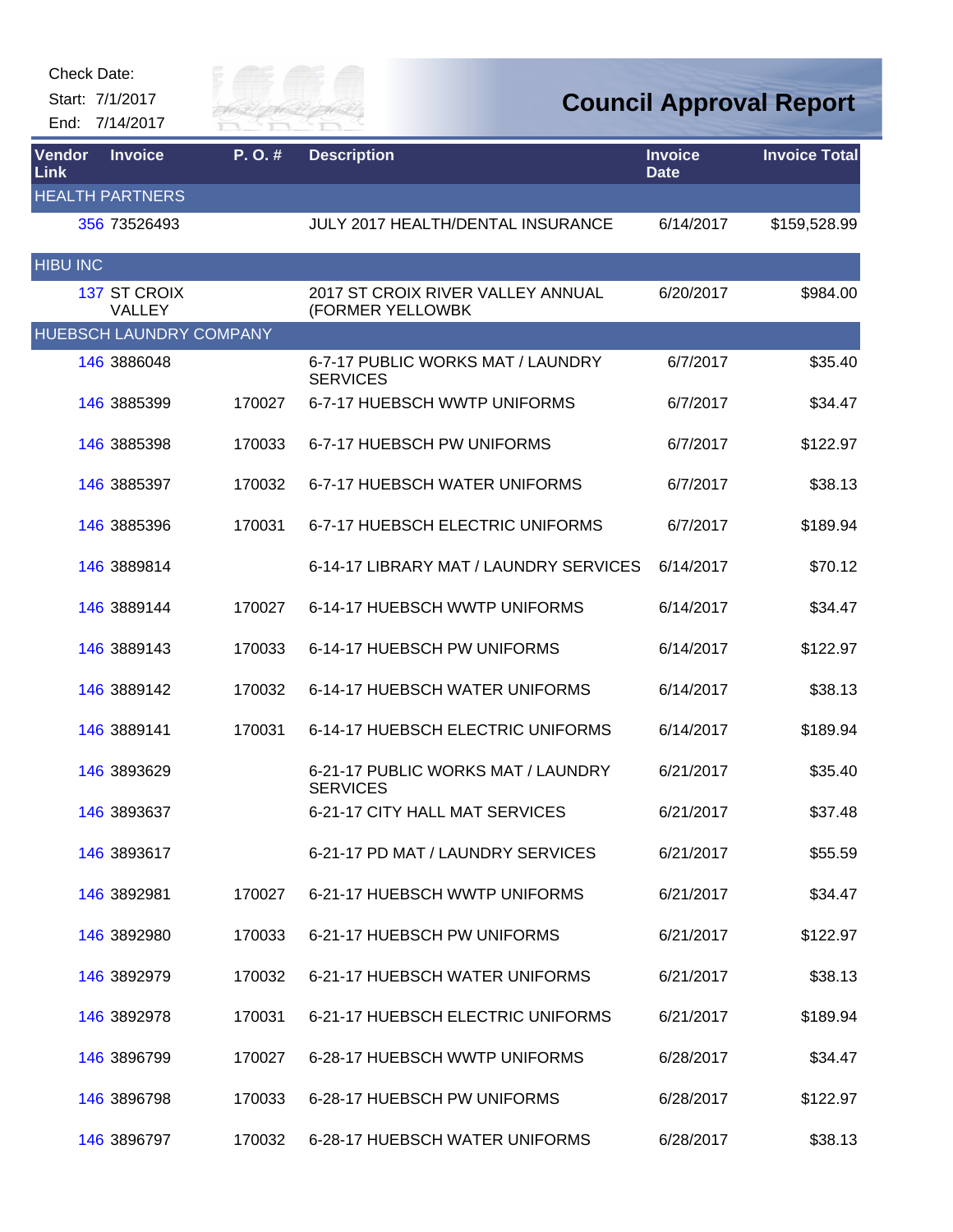## Check Date:

Start: 7/1/2017 End: 7/14/2017



## **Council Approval Report**

| <b>Vendor</b><br>Link | <b>Invoice</b>                 | $P. O.$ # | <b>Description</b>                                    | <b>Invoice</b><br><b>Date</b> | <b>Invoice Total</b> |
|-----------------------|--------------------------------|-----------|-------------------------------------------------------|-------------------------------|----------------------|
|                       | <b>HEALTH PARTNERS</b>         |           |                                                       |                               |                      |
|                       | 356 73526493                   |           | JULY 2017 HEALTH/DENTAL INSURANCE                     | 6/14/2017                     | \$159,528.99         |
| <b>HIBU INC</b>       |                                |           |                                                       |                               |                      |
|                       | 137 ST CROIX<br>VALLEY         |           | 2017 ST CROIX RIVER VALLEY ANNUAL<br>(FORMER YELLOWBK | 6/20/2017                     | \$984.00             |
|                       | <b>HUEBSCH LAUNDRY COMPANY</b> |           |                                                       |                               |                      |
|                       | 146 3886048                    |           | 6-7-17 PUBLIC WORKS MAT / LAUNDRY<br><b>SERVICES</b>  | 6/7/2017                      | \$35.40              |
|                       | 146 3885399                    | 170027    | 6-7-17 HUEBSCH WWTP UNIFORMS                          | 6/7/2017                      | \$34.47              |
|                       | 146 3885398                    | 170033    | 6-7-17 HUEBSCH PW UNIFORMS                            | 6/7/2017                      | \$122.97             |
|                       | 146 3885397                    | 170032    | 6-7-17 HUEBSCH WATER UNIFORMS                         | 6/7/2017                      | \$38.13              |
|                       | 146 3885396                    | 170031    | 6-7-17 HUEBSCH ELECTRIC UNIFORMS                      | 6/7/2017                      | \$189.94             |
|                       | 146 3889814                    |           | 6-14-17 LIBRARY MAT / LAUNDRY SERVICES                | 6/14/2017                     | \$70.12              |
|                       | 146 3889144                    | 170027    | 6-14-17 HUEBSCH WWTP UNIFORMS                         | 6/14/2017                     | \$34.47              |
|                       | 146 3889143                    | 170033    | 6-14-17 HUEBSCH PW UNIFORMS                           | 6/14/2017                     | \$122.97             |
|                       | 146 3889142                    | 170032    | 6-14-17 HUEBSCH WATER UNIFORMS                        | 6/14/2017                     | \$38.13              |
|                       | 146 3889141                    | 170031    | 6-14-17 HUEBSCH ELECTRIC UNIFORMS                     | 6/14/2017                     | \$189.94             |
|                       | 146 3893629                    |           | 6-21-17 PUBLIC WORKS MAT / LAUNDRY<br><b>SERVICES</b> | 6/21/2017                     | \$35.40              |
|                       | 146 3893637                    |           | 6-21-17 CITY HALL MAT SERVICES                        | 6/21/2017                     | \$37.48              |
|                       | 146 3893617                    |           | 6-21-17 PD MAT / LAUNDRY SERVICES                     | 6/21/2017                     | \$55.59              |
|                       | 146 3892981                    | 170027    | 6-21-17 HUEBSCH WWTP UNIFORMS                         | 6/21/2017                     | \$34.47              |
|                       | 146 3892980                    | 170033    | 6-21-17 HUEBSCH PW UNIFORMS                           | 6/21/2017                     | \$122.97             |
|                       | 146 3892979                    | 170032    | 6-21-17 HUEBSCH WATER UNIFORMS                        | 6/21/2017                     | \$38.13              |
|                       | 146 3892978                    | 170031    | 6-21-17 HUEBSCH ELECTRIC UNIFORMS                     | 6/21/2017                     | \$189.94             |
|                       | 146 3896799                    | 170027    | 6-28-17 HUEBSCH WWTP UNIFORMS                         | 6/28/2017                     | \$34.47              |
|                       | 146 3896798                    | 170033    | 6-28-17 HUEBSCH PW UNIFORMS                           | 6/28/2017                     | \$122.97             |
|                       | 146 3896797                    | 170032    | 6-28-17 HUEBSCH WATER UNIFORMS                        | 6/28/2017                     | \$38.13              |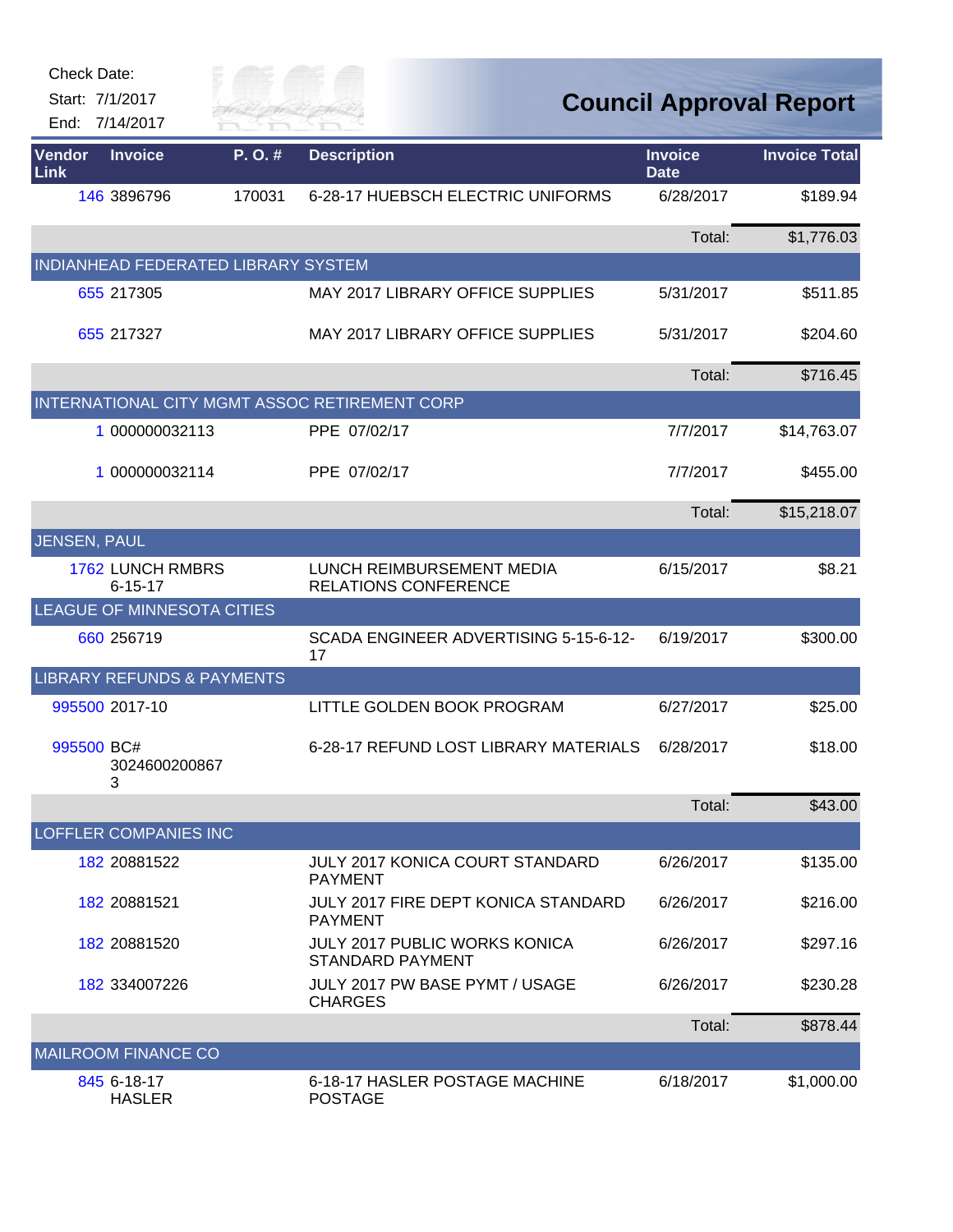| Check Date:           |                                          |                        |                                                                 |                               |                                |
|-----------------------|------------------------------------------|------------------------|-----------------------------------------------------------------|-------------------------------|--------------------------------|
| Start: 7/1/2017       | End: 7/14/2017                           | City of F<br>RIVER FAI |                                                                 |                               | <b>Council Approval Report</b> |
| Vendor<br><b>Link</b> | <b>Invoice</b>                           | P.O.#                  | <b>Description</b>                                              | <b>Invoice</b><br><b>Date</b> | <b>Invoice Total</b>           |
|                       | 146 3896796                              | 170031                 | 6-28-17 HUEBSCH ELECTRIC UNIFORMS                               | 6/28/2017                     | \$189.94                       |
|                       |                                          |                        |                                                                 | Total:                        | \$1,776.03                     |
|                       | INDIANHEAD FEDERATED LIBRARY SYSTEM      |                        |                                                                 |                               |                                |
|                       | 655 217305                               |                        | MAY 2017 LIBRARY OFFICE SUPPLIES                                | 5/31/2017                     | \$511.85                       |
|                       | 655 217327                               |                        | MAY 2017 LIBRARY OFFICE SUPPLIES                                | 5/31/2017                     | \$204.60                       |
|                       |                                          |                        |                                                                 | Total:                        | \$716.45                       |
|                       |                                          |                        | INTERNATIONAL CITY MGMT ASSOC RETIREMENT CORP                   |                               |                                |
|                       | 1 000000032113                           |                        | PPE 07/02/17                                                    | 7/7/2017                      | \$14,763.07                    |
|                       | 1 000000032114                           |                        | PPE 07/02/17                                                    | 7/7/2017                      | \$455.00                       |
|                       |                                          |                        |                                                                 | Total:                        | \$15,218.07                    |
| <b>JENSEN, PAUL</b>   |                                          |                        |                                                                 |                               |                                |
|                       | <b>1762 LUNCH RMBRS</b><br>$6 - 15 - 17$ |                        | LUNCH REIMBURSEMENT MEDIA<br><b>RELATIONS CONFERENCE</b>        | 6/15/2017                     | \$8.21                         |
|                       | <b>LEAGUE OF MINNESOTA CITIES</b>        |                        |                                                                 |                               |                                |
|                       | 660 256719                               |                        | SCADA ENGINEER ADVERTISING 5-15-6-12-<br>17                     | 6/19/2017                     | \$300.00                       |
|                       | <b>LIBRARY REFUNDS &amp; PAYMENTS</b>    |                        |                                                                 |                               |                                |
|                       | 995500 2017-10                           |                        | LITTLE GOLDEN BOOK PROGRAM                                      | 6/27/2017                     | \$25.00                        |
| 995500 BC#            | 3024600200867<br>3                       |                        | 6-28-17 REFUND LOST LIBRARY MATERIALS                           | 6/28/2017                     | \$18.00                        |
|                       |                                          |                        |                                                                 | Total:                        | \$43.00                        |
|                       | <b>LOFFLER COMPANIES INC</b>             |                        |                                                                 |                               |                                |
|                       | 182 20881522                             |                        | <b>JULY 2017 KONICA COURT STANDARD</b><br><b>PAYMENT</b>        | 6/26/2017                     | \$135.00                       |
|                       | 182 20881521                             |                        | JULY 2017 FIRE DEPT KONICA STANDARD<br><b>PAYMENT</b>           | 6/26/2017                     | \$216.00                       |
|                       | 182 20881520                             |                        | <b>JULY 2017 PUBLIC WORKS KONICA</b><br><b>STANDARD PAYMENT</b> | 6/26/2017                     | \$297.16                       |
|                       | 182 334007226                            |                        | JULY 2017 PW BASE PYMT / USAGE<br><b>CHARGES</b>                | 6/26/2017                     | \$230.28                       |
|                       |                                          |                        |                                                                 | Total:                        | \$878.44                       |
|                       | <b>MAILROOM FINANCE CO</b>               |                        |                                                                 |                               |                                |
|                       | 845 6-18-17<br><b>HASLER</b>             |                        | 6-18-17 HASLER POSTAGE MACHINE<br><b>POSTAGE</b>                | 6/18/2017                     | \$1,000.00                     |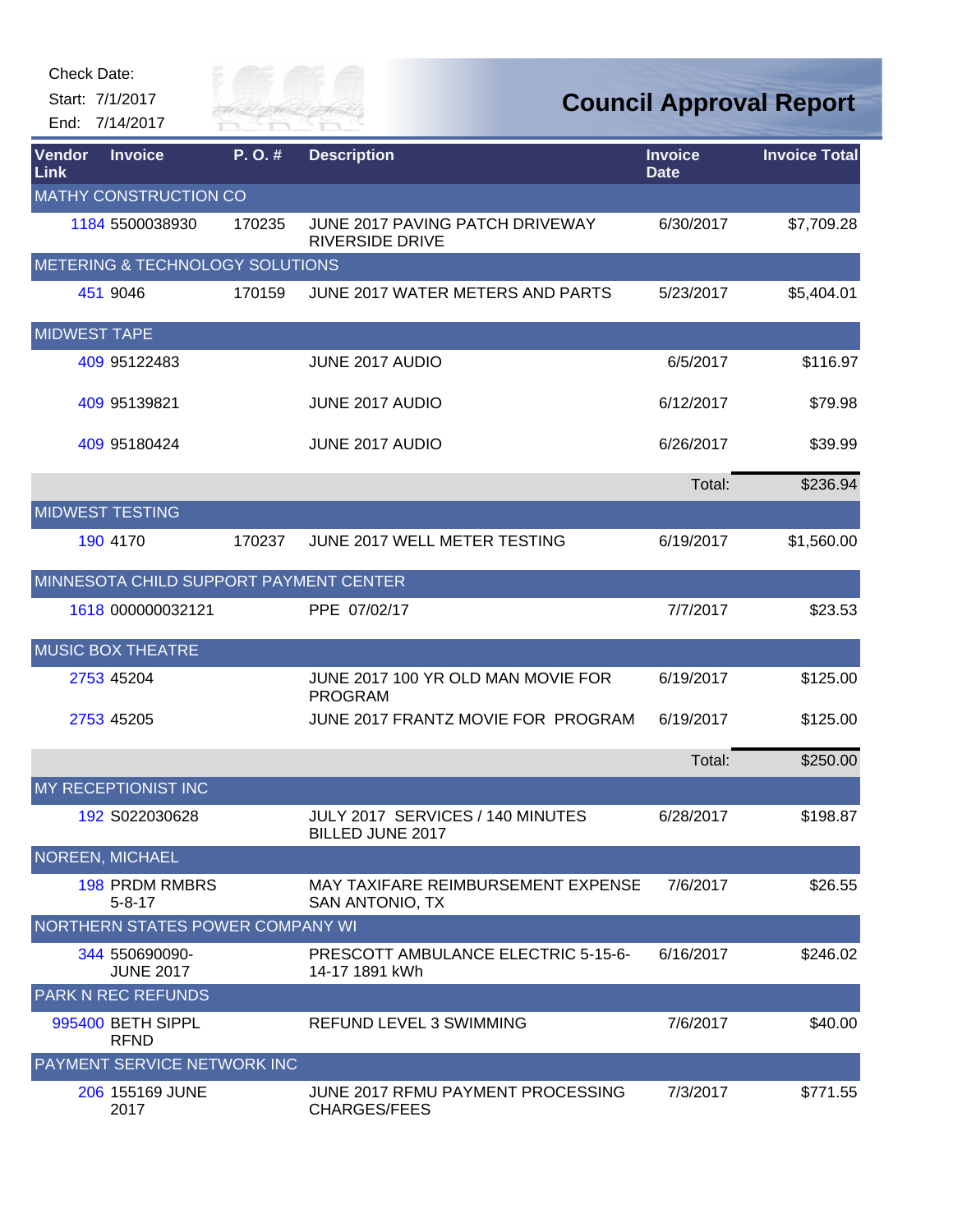|                | Check Date:<br>Start: 7/1/2017<br>End: 7/14/2017 | City of<br>RIVER FAI |                                                             |                               | <b>Council Approval Report</b> |
|----------------|--------------------------------------------------|----------------------|-------------------------------------------------------------|-------------------------------|--------------------------------|
| Vendor<br>Link | <b>Invoice</b>                                   | P.O.#                | <b>Description</b>                                          | <b>Invoice</b><br><b>Date</b> | <b>Invoice Total</b>           |
|                | <b>MATHY CONSTRUCTION CO</b><br>1184 5500038930  | 170235               | JUNE 2017 PAVING PATCH DRIVEWAY<br>RIVERSIDE DRIVE          | 6/30/2017                     | \$7,709.28                     |
|                | METERING & TECHNOLOGY SOLUTIONS                  |                      |                                                             |                               |                                |
|                | 451 9046                                         | 170159               | JUNE 2017 WATER METERS AND PARTS                            | 5/23/2017                     | \$5,404.01                     |
|                | <b>MIDWEST TAPE</b>                              |                      |                                                             |                               |                                |
|                | 409 95122483                                     |                      | JUNE 2017 AUDIO                                             | 6/5/2017                      | \$116.97                       |
|                | 409 95139821                                     |                      | JUNE 2017 AUDIO                                             | 6/12/2017                     | \$79.98                        |
|                | 409 95180424                                     |                      | JUNE 2017 AUDIO                                             | 6/26/2017                     | \$39.99                        |
|                |                                                  |                      |                                                             | Total:                        | \$236.94                       |
|                | <b>MIDWEST TESTING</b>                           |                      |                                                             |                               |                                |
|                | 190 4170                                         | 170237               | JUNE 2017 WELL METER TESTING                                | 6/19/2017                     | \$1,560.00                     |
|                | MINNESOTA CHILD SUPPORT PAYMENT CENTER           |                      |                                                             |                               |                                |
|                | 1618 000000032121                                |                      | PPE 07/02/17                                                | 7/7/2017                      | \$23.53                        |
|                | <b>MUSIC BOX THEATRE</b>                         |                      |                                                             |                               |                                |
|                | 2753 45204                                       |                      | JUNE 2017 100 YR OLD MAN MOVIE FOR<br><b>PROGRAM</b>        | 6/19/2017                     | \$125.00                       |
|                | 2753 45205                                       |                      | JUNE 2017 FRANTZ MOVIE FOR PROGRAM                          | 6/19/2017                     | \$125.00                       |
|                |                                                  |                      |                                                             | Total:                        | \$250.00                       |
|                | <b>MY RECEPTIONIST INC</b>                       |                      |                                                             |                               |                                |
|                | 192 S022030628                                   |                      | JULY 2017 SERVICES / 140 MINUTES<br><b>BILLED JUNE 2017</b> | 6/28/2017                     | \$198.87                       |
|                | <b>NOREEN, MICHAEL</b>                           |                      |                                                             |                               |                                |
|                | <b>198 PRDM RMBRS</b><br>$5 - 8 - 17$            |                      | MAY TAXIFARE REIMBURSEMENT EXPENSE<br>SAN ANTONIO, TX       | 7/6/2017                      | \$26.55                        |
|                | NORTHERN STATES POWER COMPANY WI                 |                      |                                                             |                               |                                |
|                | 344 550690090-<br><b>JUNE 2017</b>               |                      | PRESCOTT AMBULANCE ELECTRIC 5-15-6-<br>14-17 1891 kWh       | 6/16/2017                     | \$246.02                       |
|                | <b>PARK N REC REFUNDS</b>                        |                      |                                                             |                               |                                |
|                | 995400 BETH SIPPL<br><b>RFND</b>                 |                      | REFUND LEVEL 3 SWIMMING                                     | 7/6/2017                      | \$40.00                        |
|                | PAYMENT SERVICE NETWORK INC                      |                      |                                                             |                               |                                |
|                | 206 155169 JUNE<br>2017                          |                      | JUNE 2017 RFMU PAYMENT PROCESSING<br>CHARGES/FEES           | 7/3/2017                      | \$771.55                       |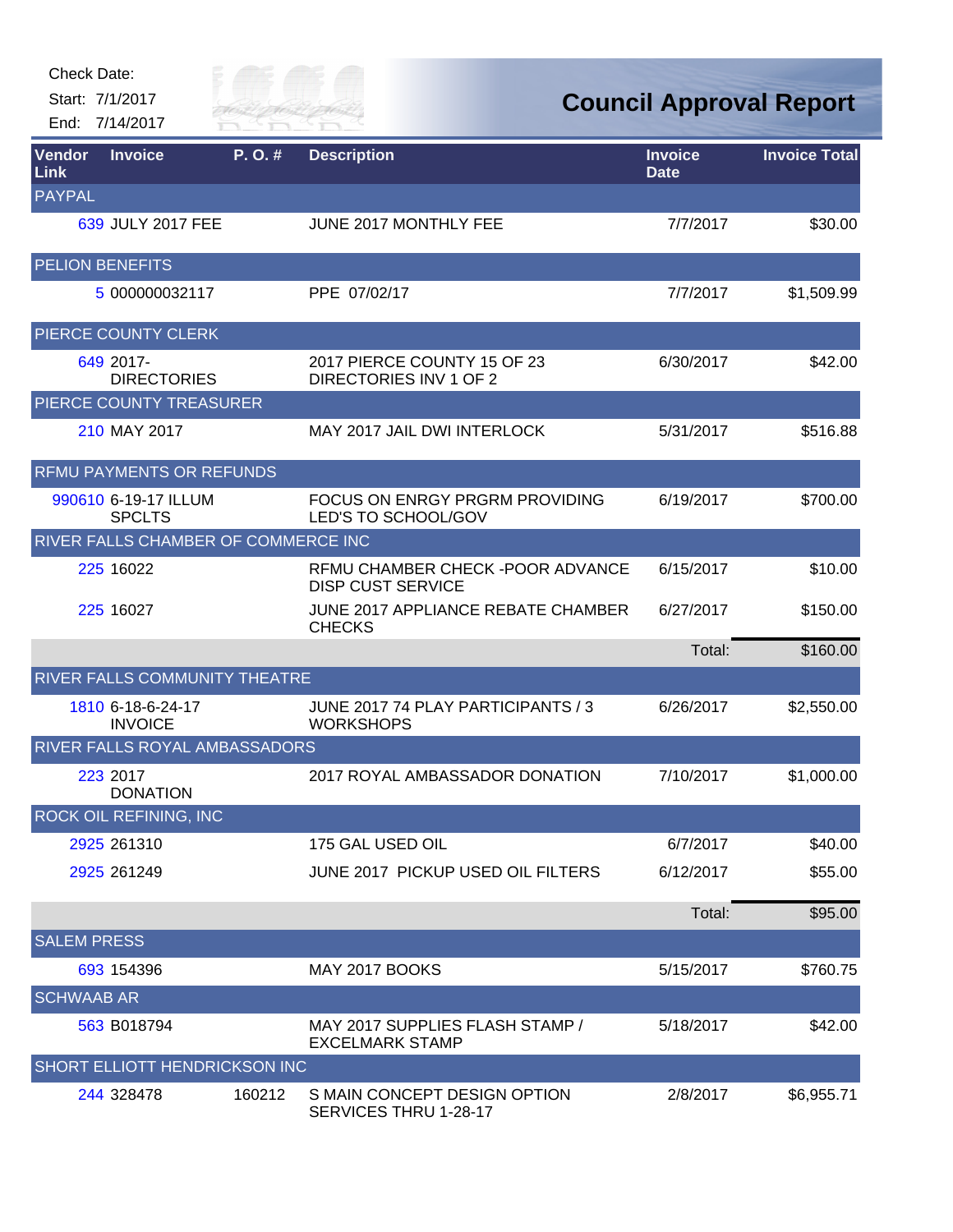|                                               | Check Date:<br>Start: 7/1/2017<br>End: 7/14/2017 | City of $\equiv$<br>RIVER FAI |                                                               |                               | <b>Council Approval Report</b> |
|-----------------------------------------------|--------------------------------------------------|-------------------------------|---------------------------------------------------------------|-------------------------------|--------------------------------|
| <b>Vendor</b><br><b>Link</b><br><b>PAYPAL</b> | <b>Invoice</b>                                   | P.O.#                         | <b>Description</b>                                            | <b>Invoice</b><br><b>Date</b> | <b>Invoice Total</b>           |
|                                               | 639 JULY 2017 FEE                                |                               | JUNE 2017 MONTHLY FEE                                         | 7/7/2017                      | \$30.00                        |
|                                               | <b>PELION BENEFITS</b>                           |                               |                                                               |                               |                                |
|                                               | 5 000000032117                                   |                               | PPE 07/02/17                                                  | 7/7/2017                      | \$1,509.99                     |
|                                               | PIERCE COUNTY CLERK                              |                               |                                                               |                               |                                |
|                                               | 649 2017-<br><b>DIRECTORIES</b>                  |                               | 2017 PIERCE COUNTY 15 OF 23<br>DIRECTORIES INV 1 OF 2         | 6/30/2017                     | \$42.00                        |
|                                               | PIERCE COUNTY TREASURER                          |                               |                                                               |                               |                                |
|                                               | 210 MAY 2017                                     |                               | MAY 2017 JAIL DWI INTERLOCK                                   | 5/31/2017                     | \$516.88                       |
|                                               | <b>RFMU PAYMENTS OR REFUNDS</b>                  |                               |                                                               |                               |                                |
|                                               | 990610 6-19-17 ILLUM<br><b>SPCLTS</b>            |                               | FOCUS ON ENRGY PRGRM PROVIDING<br>LED'S TO SCHOOL/GOV         | 6/19/2017                     | \$700.00                       |
|                                               | RIVER FALLS CHAMBER OF COMMERCE INC              |                               |                                                               |                               |                                |
|                                               | 225 16022                                        |                               | RFMU CHAMBER CHECK - POOR ADVANCE<br><b>DISP CUST SERVICE</b> | 6/15/2017                     | \$10.00                        |
|                                               | 225 16027                                        |                               | JUNE 2017 APPLIANCE REBATE CHAMBER<br><b>CHECKS</b>           | 6/27/2017                     | \$150.00                       |
|                                               |                                                  |                               |                                                               | Total:                        | \$160.00                       |
|                                               | RIVER FALLS COMMUNITY THEATRE                    |                               |                                                               |                               |                                |
|                                               | 1810 6-18-6-24-17<br><b>INVOICE</b>              |                               | JUNE 2017 74 PLAY PARTICIPANTS / 3<br><b>WORKSHOPS</b>        | 6/26/2017                     | \$2,550.00                     |
|                                               | RIVER FALLS ROYAL AMBASSADORS                    |                               |                                                               |                               |                                |
|                                               | 223 2017<br><b>DONATION</b>                      |                               | 2017 ROYAL AMBASSADOR DONATION                                | 7/10/2017                     | \$1,000.00                     |
|                                               | ROCK OIL REFINING, INC                           |                               |                                                               |                               |                                |
|                                               | 2925 261310                                      |                               | 175 GAL USED OIL                                              | 6/7/2017                      | \$40.00                        |
|                                               | 2925 261249                                      |                               | JUNE 2017 PICKUP USED OIL FILTERS                             | 6/12/2017                     | \$55.00                        |
|                                               |                                                  |                               |                                                               | Total:                        | \$95.00                        |
| <b>SALEM PRESS</b>                            |                                                  |                               |                                                               |                               |                                |
|                                               | 693 154396                                       |                               | MAY 2017 BOOKS                                                | 5/15/2017                     | \$760.75                       |
| <b>SCHWAAB AR</b>                             |                                                  |                               |                                                               |                               |                                |
|                                               | 563 B018794                                      |                               | MAY 2017 SUPPLIES FLASH STAMP /<br><b>EXCELMARK STAMP</b>     | 5/18/2017                     | \$42.00                        |
|                                               | SHORT ELLIOTT HENDRICKSON INC                    |                               |                                                               |                               |                                |
|                                               | 244 328478                                       | 160212                        | S MAIN CONCEPT DESIGN OPTION<br>SERVICES THRU 1-28-17         | 2/8/2017                      | \$6,955.71                     |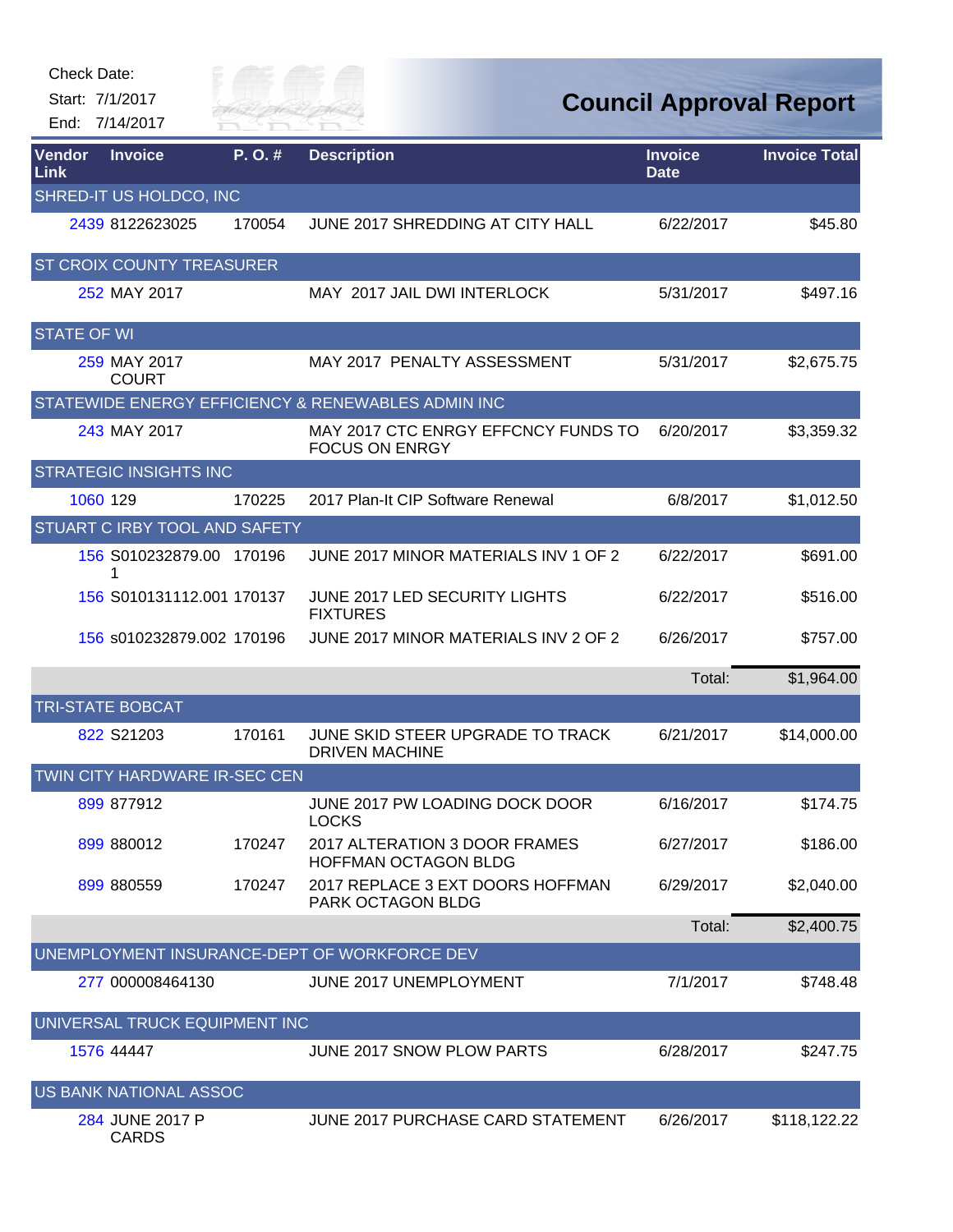| Check Date:        | Start: 7/1/2017<br>End: 7/14/2017    | Sity of<br>River Fai |                                                              |                               | <b>Council Approval Report</b> |
|--------------------|--------------------------------------|----------------------|--------------------------------------------------------------|-------------------------------|--------------------------------|
| Vendor<br>Link     | <b>Invoice</b>                       | P.O.#                | <b>Description</b>                                           | <b>Invoice</b><br><b>Date</b> | <b>Invoice Total</b>           |
|                    | SHRED-IT US HOLDCO, INC              |                      |                                                              |                               |                                |
|                    | 2439 8122623025                      | 170054               | JUNE 2017 SHREDDING AT CITY HALL                             | 6/22/2017                     | \$45.80                        |
|                    | <b>ST CROIX COUNTY TREASURER</b>     |                      |                                                              |                               |                                |
|                    | 252 MAY 2017                         |                      | MAY 2017 JAIL DWI INTERLOCK                                  | 5/31/2017                     | \$497.16                       |
| <b>STATE OF WI</b> |                                      |                      |                                                              |                               |                                |
|                    | 259 MAY 2017<br><b>COURT</b>         |                      | MAY 2017 PENALTY ASSESSMENT                                  | 5/31/2017                     | \$2,675.75                     |
|                    |                                      |                      | STATEWIDE ENERGY EFFICIENCY & RENEWABLES ADMIN INC           |                               |                                |
|                    | 243 MAY 2017                         |                      | MAY 2017 CTC ENRGY EFFCNCY FUNDS TO<br><b>FOCUS ON ENRGY</b> | 6/20/2017                     | \$3,359.32                     |
|                    | <b>STRATEGIC INSIGHTS INC</b>        |                      |                                                              |                               |                                |
|                    | 1060 129                             | 170225               | 2017 Plan-It CIP Software Renewal                            | 6/8/2017                      | \$1,012.50                     |
|                    | <b>STUART C IRBY TOOL AND SAFETY</b> |                      |                                                              |                               |                                |
|                    | 156 S010232879.00 170196<br>1        |                      | JUNE 2017 MINOR MATERIALS INV 1 OF 2                         | 6/22/2017                     | \$691.00                       |
|                    | 156 S010131112.001 170137            |                      | JUNE 2017 LED SECURITY LIGHTS<br><b>FIXTURES</b>             | 6/22/2017                     | \$516.00                       |
|                    | 156 s010232879.002 170196            |                      | JUNE 2017 MINOR MATERIALS INV 2 OF 2                         | 6/26/2017                     | \$757.00                       |
|                    |                                      |                      |                                                              | Total:                        | \$1,964.00                     |
|                    | <b>TRI-STATE BOBCAT</b>              |                      |                                                              |                               |                                |
|                    | 822 S21203                           | 170161               | JUNE SKID STEER UPGRADE TO TRACK<br><b>DRIVEN MACHINE</b>    | 6/21/2017                     | \$14,000.00                    |
|                    | WIN CITY HARDWARE IR-SEC CEN         |                      |                                                              |                               |                                |
|                    | 899 877912                           |                      | JUNE 2017 PW LOADING DOCK DOOR<br><b>LOCKS</b>               | 6/16/2017                     | \$174.75                       |
|                    | 899 880012                           | 170247               | 2017 ALTERATION 3 DOOR FRAMES<br><b>HOFFMAN OCTAGON BLDG</b> | 6/27/2017                     | \$186.00                       |
|                    | 899 880559                           | 170247               | 2017 REPLACE 3 EXT DOORS HOFFMAN<br>PARK OCTAGON BLDG        | 6/29/2017                     | \$2,040.00                     |
|                    |                                      |                      |                                                              | Total:                        | \$2,400.75                     |
|                    |                                      |                      | UNEMPLOYMENT INSURANCE-DEPT OF WORKFORCE DEV                 |                               |                                |
|                    | 277 000008464130                     |                      | JUNE 2017 UNEMPLOYMENT                                       | 7/1/2017                      | \$748.48                       |
|                    | UNIVERSAL TRUCK EQUIPMENT INC        |                      |                                                              |                               |                                |
|                    | 1576 44447                           |                      | JUNE 2017 SNOW PLOW PARTS                                    | 6/28/2017                     | \$247.75                       |
|                    | US BANK NATIONAL ASSOC               |                      |                                                              |                               |                                |
|                    | 284 JUNE 2017 P<br><b>CARDS</b>      |                      | JUNE 2017 PURCHASE CARD STATEMENT                            | 6/26/2017                     | \$118,122.22                   |